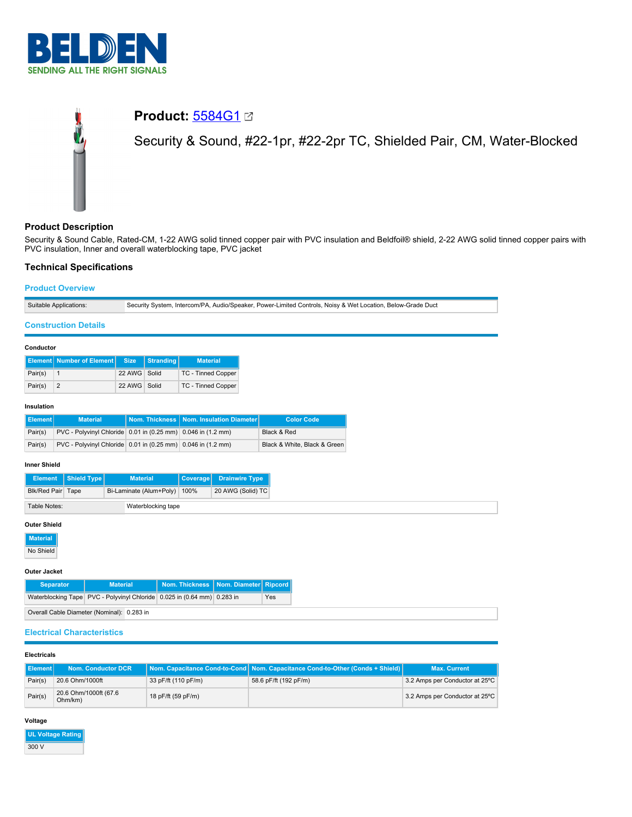

# **Product:** [5584G1](https://catalog.belden.com/index.cfm?event=pd&p=PF_5584G1&tab=downloads) Security & Sound, #22-1pr, #22-2pr TC, Shielded Pair, CM, Water-Blocked

# **Product Description**

Security & Sound Cable, Rated-CM, 1-22 AWG solid tinned copper pair with PVC insulation and Beldfoil® shield, 2-22 AWG solid tinned copper pairs with PVC insulation, Inner and overall waterblocking tape, PVC jacket

# **Technical Specifications**

# **Product Overview**

| Suitable Applications: | ı, Intercom/PA, Audio/Speaker, Power-Limited Controls, Noisy & Wet Location, Below-Grade Duct.<br>Security System. |
|------------------------|--------------------------------------------------------------------------------------------------------------------|
|                        |                                                                                                                    |

# **Construction Details**

#### **Conductor**

|         | <b>Element Number of Element Size Stranding</b> |              | <b>Material</b>           |
|---------|-------------------------------------------------|--------------|---------------------------|
| Pair(s) |                                                 | 22 AWG Solid | <b>TC - Tinned Copper</b> |
| Pair(s) |                                                 | 22 AWG Solid | <b>TC - Tinned Copper</b> |

#### **Insulation**

| <b>Element</b> | <b>Material</b>                                              | Nom. Thickness   Nom. Insulation Diameter | <b>Color Code</b>            |
|----------------|--------------------------------------------------------------|-------------------------------------------|------------------------------|
| Pair(s)        | PVC - Polyvinyl Chloride 0.01 in (0.25 mm) 0.046 in (1.2 mm) |                                           | Black & Red                  |
| Pair(s)        | PVC - Polyvinyl Chloride 0.01 in (0.25 mm) 0.046 in (1.2 mm) |                                           | Black & White, Black & Green |

#### **Inner Shield**

|                                    | Element   Shield Type | <b>Material</b>              |  | Coverage Drainwire Type |
|------------------------------------|-----------------------|------------------------------|--|-------------------------|
| Blk/Red Pair Tape                  |                       | Bi-Laminate (Alum+Poly) 100% |  | 20 AWG (Solid) TC       |
| Table Notes:<br>Waterblocking tape |                       |                              |  |                         |

#### **Outer Shield**

**Material**

No Shield

# **Outer Jacket**

| <b>Separator</b> | <b>Material</b>                                                           | Nom. Thickness   Nom. Diameter   Ripcord |     |
|------------------|---------------------------------------------------------------------------|------------------------------------------|-----|
|                  | Waterblocking Tape   PVC - Polyvinyl Chloride 0.025 in (0.64 mm) 0.283 in |                                          | Yes |
|                  | Overall Cable Diameter (Nominal): 0.283 in                                |                                          |     |

## **Electrical Characteristics**

## **Electricals**

| ll Element l | <b>Nom. Conductor DCR</b>        |                     | Nom. Capacitance Cond-to-Cond Nom. Capacitance Cond-to-Other (Conds + Shield) | <b>Max. Current</b>            |
|--------------|----------------------------------|---------------------|-------------------------------------------------------------------------------|--------------------------------|
| Pair(s)      | 20.6 Ohm/1000ft                  | 33 pF/ft (110 pF/m) | 58.6 pF/ft (192 pF/m)                                                         | 3.2 Amps per Conductor at 25°C |
| Pair(s)      | 20.6 Ohm/1000ft (67.6<br>Ohm/km) | 18 pF/ft (59 pF/m)  |                                                                               | 3.2 Amps per Conductor at 25°C |

## **Voltage**

| <b>UL Voltage Rating</b> |
|--------------------------|
| 300 V                    |